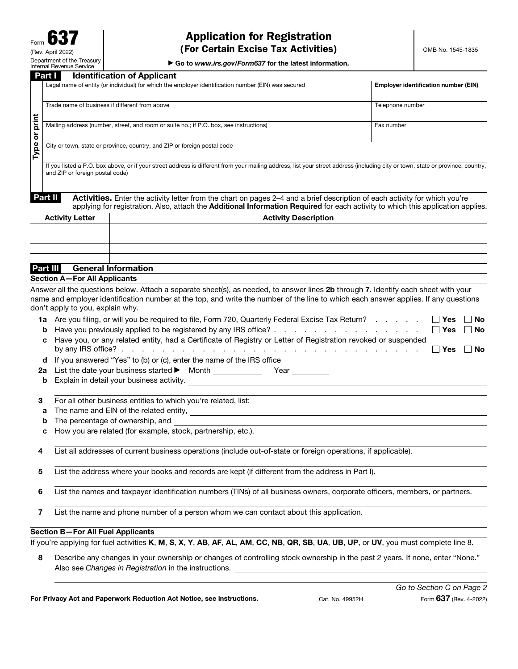# Application for Registration (For Certain Excise Tax Activities)

▶ Go to *www.irs.gov/Form637* for the latest information.

| Part I<br><b>Identification of Applicant</b>                                                        |                                             |
|-----------------------------------------------------------------------------------------------------|---------------------------------------------|
| Legal name of entity (or individual) for which the employer identification number (EIN) was secured | <b>Employer identification number (EIN)</b> |
| Trade name of business if different from above                                                      | Telephone number                            |
| Mailing address (number, street, and room or suite no.; if P.O. box, see instructions)              | Fax number                                  |
| City or town, state or province, country, and ZIP or foreign postal code                            |                                             |
|                                                                                                     |                                             |

If you listed a P.O. box above, or if your street address is different from your mailing address, list your street address (including city or town, state or province, country, and ZIP or foreign postal code)

**Part II** Activities. Enter the activity letter from the chart on pages 2–4 and a brief description of each activity for which you're applying for registration. Also, attach the Additional Information Required for each activity to which this application applies.

| <b>Activity Letter</b> | <b>Activity Description</b>         |  |  |
|------------------------|-------------------------------------|--|--|
|                        |                                     |  |  |
|                        |                                     |  |  |
|                        |                                     |  |  |
|                        |                                     |  |  |
| Part III               | <b>General Information</b>          |  |  |
|                        | <b>Section A-For All Applicants</b> |  |  |

Answer all the questions below. Attach a separate sheet(s), as needed, to answer lines 2b through 7. Identify each sheet with your name and employer identification number at the top, and write the number of the line to which each answer applies. If any questions don't apply to you, explain why.

| 1a Are you filing, or will you be required to file, Form 720, Quarterly Federal Excise Tax Return? |  |  | □ Yes □ No           |  |
|----------------------------------------------------------------------------------------------------|--|--|----------------------|--|
| <b>b</b> Have you previously applied to be registered by any IRS office?                           |  |  | $\Box$ Yes $\Box$ No |  |

| c Have you, or any related entity, had a Certificate of Registry or Letter of Registration revoked or suspended |  |
|-----------------------------------------------------------------------------------------------------------------|--|
|                                                                                                                 |  |

|  |  | <b>d</b> If you answered "Yes" to (b) or (c), enter the name of the IRS office |  |
|--|--|--------------------------------------------------------------------------------|--|
|--|--|--------------------------------------------------------------------------------|--|

|  |  | 2a List the date your business started $\blacktriangleright$ | Month | Year |  |
|--|--|--------------------------------------------------------------|-------|------|--|
|--|--|--------------------------------------------------------------|-------|------|--|

**b** Explain in detail your business activity.

3 For all other business entities to which you're related, list:

a The name and EIN of the related entity,

**b** The percentage of ownership, and

c How you are related (for example, stock, partnership, etc.).

4 List all addresses of current business operations (include out-of-state or foreign operations, if applicable).

5 List the address where your books and records are kept (if different from the address in Part I).

6 List the names and taxpayer identification numbers (TINs) of all business owners, corporate officers, members, or partners.

7 List the name and phone number of a person whom we can contact about this application.

#### Section B—For All Fuel Applicants

If you're applying for fuel activities K, M, S, X, Y, AB, AF, AL, AM, CC, NB, QR, SB, UA, UB, UP, or UV, you must complete line 8.

8 Describe any changes in your ownership or changes of controlling stock ownership in the past 2 years. If none, enter "None." Also see *Changes in Registration* in the instructions.

For Privacy Act and Paperwork Reduction Act Notice, see instructions. Cat. No. 49952H Form 637 (Rev. 4-2022)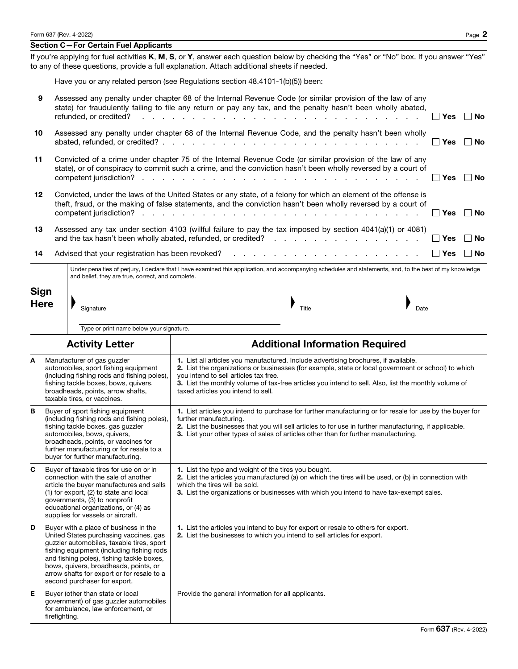#### Section C—For Certain Fuel Applicants

If you're applying for fuel activities K, M, S, or Y, answer each question below by checking the "Yes" or "No" box. If you answer "Yes" to any of these questions, provide a full explanation. Attach additional sheets if needed.

Have you or any related person (see Regulations section 48.4101-1(b)(5)) been:

| 9           | refunded, or credited?                                                                                                                                                                                                                                                                                                                                                                                                                                                                                                                                                                                              | Assessed any penalty under chapter 68 of the Internal Revenue Code (or similar provision of the law of any<br>state) for fraudulently failing to file any return or pay any tax, and the penalty hasn't been wholly abated,<br>Yes<br>de la participat de la participat de la participat de la participat de la participat de la participat de la pa<br>∣ No |  |  |  |  |
|-------------|---------------------------------------------------------------------------------------------------------------------------------------------------------------------------------------------------------------------------------------------------------------------------------------------------------------------------------------------------------------------------------------------------------------------------------------------------------------------------------------------------------------------------------------------------------------------------------------------------------------------|--------------------------------------------------------------------------------------------------------------------------------------------------------------------------------------------------------------------------------------------------------------------------------------------------------------------------------------------------------------|--|--|--|--|
| 10          |                                                                                                                                                                                                                                                                                                                                                                                                                                                                                                                                                                                                                     | Assessed any penalty under chapter 68 of the Internal Revenue Code, and the penalty hasn't been wholly<br><b>Yes</b><br>No                                                                                                                                                                                                                                   |  |  |  |  |
| 11          |                                                                                                                                                                                                                                                                                                                                                                                                                                                                                                                                                                                                                     | Convicted of a crime under chapter 75 of the Internal Revenue Code (or similar provision of the law of any<br>state), or of conspiracy to commit such a crime, and the conviction hasn't been wholly reversed by a court of<br><b>Yes</b><br>∣ No                                                                                                            |  |  |  |  |
| 12          |                                                                                                                                                                                                                                                                                                                                                                                                                                                                                                                                                                                                                     | Convicted, under the laws of the United States or any state, of a felony for which an element of the offense is<br>theft, fraud, or the making of false statements, and the conviction hasn't been wholly reversed by a court of<br>$\sqcap$ Yes<br>∣ No                                                                                                     |  |  |  |  |
| 13          |                                                                                                                                                                                                                                                                                                                                                                                                                                                                                                                                                                                                                     | Assessed any tax under section 4103 (willful failure to pay the tax imposed by section 4041(a)(1) or 4081)<br>∣ ∣ Yes<br>No                                                                                                                                                                                                                                  |  |  |  |  |
| 14          |                                                                                                                                                                                                                                                                                                                                                                                                                                                                                                                                                                                                                     | $\vert$ Yes<br>∣ No                                                                                                                                                                                                                                                                                                                                          |  |  |  |  |
| Sign        | and belief, they are true, correct, and complete.                                                                                                                                                                                                                                                                                                                                                                                                                                                                                                                                                                   | Under penalties of perjury, I declare that I have examined this application, and accompanying schedules and statements, and, to the best of my knowledge<br>Signature <b>Signature</b>                                                                                                                                                                       |  |  |  |  |
| <b>Here</b> |                                                                                                                                                                                                                                                                                                                                                                                                                                                                                                                                                                                                                     | $\frac{1}{\text{Title}}$<br>$\overline{Date}$                                                                                                                                                                                                                                                                                                                |  |  |  |  |
|             |                                                                                                                                                                                                                                                                                                                                                                                                                                                                                                                                                                                                                     | Type or print name below your signature.                                                                                                                                                                                                                                                                                                                     |  |  |  |  |
|             | <b>Activity Letter</b>                                                                                                                                                                                                                                                                                                                                                                                                                                                                                                                                                                                              | <b>Additional Information Required</b>                                                                                                                                                                                                                                                                                                                       |  |  |  |  |
| A           | Manufacturer of gas guzzler<br>1. List all articles you manufactured. Include advertising brochures, if available.<br>automobiles, sport fishing equipment<br>2. List the organizations or businesses (for example, state or local government or school) to which<br>(including fishing rods and fishing poles),<br>you intend to sell articles tax free.<br>fishing tackle boxes, bows, quivers,<br>3. List the monthly volume of tax-free articles you intend to sell. Also, list the monthly volume of<br>broadheads, points, arrow shafts,<br>taxed articles you intend to sell.<br>taxable tires, or vaccines. |                                                                                                                                                                                                                                                                                                                                                              |  |  |  |  |
| В           | 1. List articles you intend to purchase for further manufacturing or for resale for use by the buyer for<br>Buyer of sport fishing equipment<br>(including fishing rods and fishing poles),<br>further manufacturing.<br>fishing tackle boxes, gas guzzler<br>2. List the businesses that you will sell articles to for use in further manufacturing, if applicable.<br>3. List your other types of sales of articles other than for further manufacturing.<br>automobiles, bows, quivers,<br>broadheads, points, or vaccines for<br>further manufacturing or for resale to a<br>buyer for further manufacturing.   |                                                                                                                                                                                                                                                                                                                                                              |  |  |  |  |
| C           | Buyer of taxable tires for use on or in<br>connection with the sale of another<br>article the buyer manufactures and sells<br>(1) for export, (2) to state and local<br>governments, (3) to nonprofit<br>educational organizations, or (4) as<br>supplies for vessels or aircraft.                                                                                                                                                                                                                                                                                                                                  | 1. List the type and weight of the tires you bought.<br>2. List the articles you manufactured (a) on which the tires will be used, or (b) in connection with<br>which the tires will be sold.<br>3. List the organizations or businesses with which you intend to have tax-exempt sales.                                                                     |  |  |  |  |
| D           | Buyer with a place of business in the<br>United States purchasing vaccines, gas<br>guzzler automobiles, taxable tires, sport<br>fishing equipment (including fishing rods<br>and fishing poles), fishing tackle boxes,<br>bows, quivers, broadheads, points, or<br>arrow shafts for export or for resale to a<br>second purchaser for export.                                                                                                                                                                                                                                                                       | 1. List the articles you intend to buy for export or resale to others for export.<br>2. List the businesses to which you intend to sell articles for export.                                                                                                                                                                                                 |  |  |  |  |
| Е           | Buyer (other than state or local<br>government) of gas guzzler automobiles<br>for ambulance, law enforcement, or<br>firefighting.                                                                                                                                                                                                                                                                                                                                                                                                                                                                                   | Provide the general information for all applicants.                                                                                                                                                                                                                                                                                                          |  |  |  |  |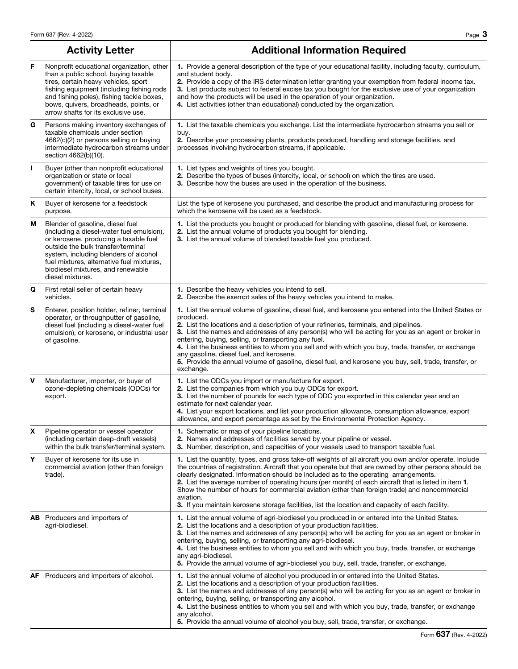|    | <b>Activity Letter</b>                                                                                                                                                                                                                                                                                      | <b>Additional Information Required</b>                                                                                                                                                                                                                                                                                                                                                                                                                                                                                                                                                                                                                 |  |  |  |
|----|-------------------------------------------------------------------------------------------------------------------------------------------------------------------------------------------------------------------------------------------------------------------------------------------------------------|--------------------------------------------------------------------------------------------------------------------------------------------------------------------------------------------------------------------------------------------------------------------------------------------------------------------------------------------------------------------------------------------------------------------------------------------------------------------------------------------------------------------------------------------------------------------------------------------------------------------------------------------------------|--|--|--|
| F  | Nonprofit educational organization, other<br>than a public school, buying taxable<br>tires, certain heavy vehicles, sport<br>fishing equipment (including fishing rods<br>and fishing poles), fishing tackle boxes,<br>bows, quivers, broadheads, points, or<br>arrow shafts for its exclusive use.         | 1. Provide a general description of the type of your educational facility, including faculty, curriculum,<br>and student body.<br>2. Provide a copy of the IRS determination letter granting your exemption from federal income tax.<br>3. List products subject to federal excise tax you bought for the exclusive use of your organization<br>and how the products will be used in the operation of your organization.<br>4. List activities (other than educational) conducted by the organization.                                                                                                                                                 |  |  |  |
| G  | Persons making inventory exchanges of<br>taxable chemicals under section<br>4662(c)(2) or persons selling or buying<br>intermediate hydrocarbon streams under<br>section 4662(b)(10).                                                                                                                       | 1. List the taxable chemicals you exchange. List the intermediate hydrocarbon streams you sell or<br>buy.<br>2. Describe your processing plants, products produced, handling and storage facilities, and<br>processes involving hydrocarbon streams, if applicable.                                                                                                                                                                                                                                                                                                                                                                                    |  |  |  |
| Т. | Buyer (other than nonprofit educational<br>organization or state or local<br>government) of taxable tires for use on<br>certain intercity, local, or school buses.                                                                                                                                          | 1. List types and weights of tires you bought.<br>2. Describe the types of buses (intercity, local, or school) on which the tires are used.<br>3. Describe how the buses are used in the operation of the business.                                                                                                                                                                                                                                                                                                                                                                                                                                    |  |  |  |
| Κ  | Buyer of kerosene for a feedstock<br>purpose.                                                                                                                                                                                                                                                               | List the type of kerosene you purchased, and describe the product and manufacturing process for<br>which the kerosene will be used as a feedstock.                                                                                                                                                                                                                                                                                                                                                                                                                                                                                                     |  |  |  |
| М  | Blender of gasoline, diesel fuel<br>(including a diesel-water fuel emulsion),<br>or kerosene, producing a taxable fuel<br>outside the bulk transfer/terminal<br>system, including blenders of alcohol<br>fuel mixtures, alternative fuel mixtures,<br>biodiesel mixtures, and renewable<br>diesel mixtures. | 1. List the products you bought or produced for blending with gasoline, diesel fuel, or kerosene.<br>2. List the annual volume of products you bought for blending.<br>3. List the annual volume of blended taxable fuel you produced.                                                                                                                                                                                                                                                                                                                                                                                                                 |  |  |  |
| Q  | First retail seller of certain heavy<br>vehicles.                                                                                                                                                                                                                                                           | 1. Describe the heavy vehicles you intend to sell.<br>2. Describe the exempt sales of the heavy vehicles you intend to make.                                                                                                                                                                                                                                                                                                                                                                                                                                                                                                                           |  |  |  |
| s  | Enterer, position holder, refiner, terminal<br>operator, or throughputter of gasoline,<br>diesel fuel (including a diesel-water fuel<br>emulsion), or kerosene, or industrial user<br>of gasoline.                                                                                                          | 1. List the annual volume of gasoline, diesel fuel, and kerosene you entered into the United States or<br>produced.<br>2. List the locations and a description of your refineries, terminals, and pipelines.<br>3. List the names and addresses of any person(s) who will be acting for you as an agent or broker in<br>entering, buying, selling, or transporting any fuel.<br>4. List the business entities to whom you sell and with which you buy, trade, transfer, or exchange<br>any gasoline, diesel fuel, and kerosene.<br>5. Provide the annual volume of gasoline, diesel fuel, and kerosene you buy, sell, trade, transfer, or<br>exchange. |  |  |  |
| v  | Manufacturer, importer, or buyer of<br>ozone-depleting chemicals (ODCs) for<br>export.                                                                                                                                                                                                                      | 1. List the ODCs you import or manufacture for export.<br>2. List the companies from which you buy ODCs for export.<br>3. List the number of pounds for each type of ODC you exported in this calendar year and an<br>estimate for next calendar year.<br>4. List your export locations, and list your production allowance, consumption allowance, export<br>allowance, and export percentage as set by the Environmental Protection Agency.                                                                                                                                                                                                          |  |  |  |
| X  | Pipeline operator or vessel operator<br>(including certain deep-draft vessels)<br>within the bulk transfer/terminal system.                                                                                                                                                                                 | 1. Schematic or map of your pipeline locations.<br><b>2.</b> Names and addresses of facilities served by your pipeline or vessel.<br>3. Number, description, and capacities of your vessels used to transport taxable fuel.                                                                                                                                                                                                                                                                                                                                                                                                                            |  |  |  |
| Υ  | Buyer of kerosene for its use in<br>commercial aviation (other than foreign<br>trade).                                                                                                                                                                                                                      | 1. List the quantity, types, and gross take-off weights of all aircraft you own and/or operate. Include<br>the countries of registration. Aircraft that you operate but that are owned by other persons should be<br>clearly designated. Information should be included as to the operating arrangements.<br>2. List the average number of operating hours (per month) of each aircraft that is listed in item 1.<br>Show the number of hours for commercial aviation (other than foreign trade) and noncommercial<br>aviation.<br><b>3.</b> If you maintain kerosene storage facilities, list the location and capacity of each facility.             |  |  |  |
|    | AB Producers and importers of<br>agri-biodiesel.                                                                                                                                                                                                                                                            | 1. List the annual volume of agri-biodiesel you produced in or entered into the United States.<br>2. List the locations and a description of your production facilities.<br>3. List the names and addresses of any person(s) who will be acting for you as an agent or broker in<br>entering, buying, selling, or transporting any agri-biodiesel.<br>4. List the business entities to whom you sell and with which you buy, trade, transfer, or exchange<br>any agri-biodiesel.<br>5. Provide the annual volume of agri-biodiesel you buy, sell, trade, transfer, or exchange.                                                                        |  |  |  |
|    | <b>AF</b> Producers and importers of alcohol.                                                                                                                                                                                                                                                               | 1. List the annual volume of alcohol you produced in or entered into the United States.<br>2. List the locations and a description of your production facilities.<br>3. List the names and addresses of any person(s) who will be acting for you as an agent or broker in<br>entering, buying, selling, or transporting any alcohol.<br>4. List the business entities to whom you sell and with which you buy, trade, transfer, or exchange<br>any alcohol.<br>5. Provide the annual volume of alcohol you buy, sell, trade, transfer, or exchange.                                                                                                    |  |  |  |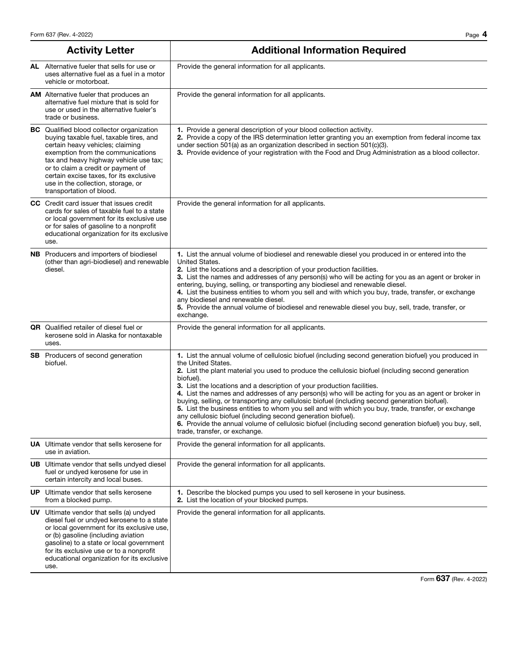| <b>Activity Letter</b>                                                                                                                                                                                                                                                                                                                                            | <b>Additional Information Required</b>                                                                                                                                                                                                                                                                                                                                                                                                                                                                                                                                                                                                                                                                                                                                                                                                                        |
|-------------------------------------------------------------------------------------------------------------------------------------------------------------------------------------------------------------------------------------------------------------------------------------------------------------------------------------------------------------------|---------------------------------------------------------------------------------------------------------------------------------------------------------------------------------------------------------------------------------------------------------------------------------------------------------------------------------------------------------------------------------------------------------------------------------------------------------------------------------------------------------------------------------------------------------------------------------------------------------------------------------------------------------------------------------------------------------------------------------------------------------------------------------------------------------------------------------------------------------------|
| <b>AL</b> Alternative fueler that sells for use or<br>uses alternative fuel as a fuel in a motor<br>vehicle or motorboat.                                                                                                                                                                                                                                         | Provide the general information for all applicants.                                                                                                                                                                                                                                                                                                                                                                                                                                                                                                                                                                                                                                                                                                                                                                                                           |
| <b>AM</b> Alternative fueler that produces an<br>alternative fuel mixture that is sold for<br>use or used in the alternative fueler's<br>trade or business.                                                                                                                                                                                                       | Provide the general information for all applicants.                                                                                                                                                                                                                                                                                                                                                                                                                                                                                                                                                                                                                                                                                                                                                                                                           |
| <b>BC</b> Qualified blood collector organization<br>buying taxable fuel, taxable tires, and<br>certain heavy vehicles; claiming<br>exemption from the communications<br>tax and heavy highway vehicle use tax;<br>or to claim a credit or payment of<br>certain excise taxes, for its exclusive<br>use in the collection, storage, or<br>transportation of blood. | 1. Provide a general description of your blood collection activity.<br>2. Provide a copy of the IRS determination letter granting you an exemption from federal income tax<br>under section 501(a) as an organization described in section 501(c)(3).<br>3. Provide evidence of your registration with the Food and Drug Administration as a blood collector.                                                                                                                                                                                                                                                                                                                                                                                                                                                                                                 |
| <b>CC</b> Credit card issuer that issues credit<br>cards for sales of taxable fuel to a state<br>or local government for its exclusive use<br>or for sales of gasoline to a nonprofit<br>educational organization for its exclusive<br>use.                                                                                                                       | Provide the general information for all applicants.                                                                                                                                                                                                                                                                                                                                                                                                                                                                                                                                                                                                                                                                                                                                                                                                           |
| <b>NB</b> Producers and importers of biodiesel<br>(other than agri-biodiesel) and renewable<br>diesel.                                                                                                                                                                                                                                                            | 1. List the annual volume of biodiesel and renewable diesel you produced in or entered into the<br>United States.<br>2. List the locations and a description of your production facilities.<br>3. List the names and addresses of any person(s) who will be acting for you as an agent or broker in<br>entering, buying, selling, or transporting any biodiesel and renewable diesel.<br>4. List the business entities to whom you sell and with which you buy, trade, transfer, or exchange<br>any biodiesel and renewable diesel.<br>5. Provide the annual volume of biodiesel and renewable diesel you buy, sell, trade, transfer, or<br>exchange.                                                                                                                                                                                                         |
| <b>QR</b> Qualified retailer of diesel fuel or<br>kerosene sold in Alaska for nontaxable<br>uses.                                                                                                                                                                                                                                                                 | Provide the general information for all applicants.                                                                                                                                                                                                                                                                                                                                                                                                                                                                                                                                                                                                                                                                                                                                                                                                           |
| <b>SB</b> Producers of second generation<br>biofuel.                                                                                                                                                                                                                                                                                                              | 1. List the annual volume of cellulosic biofuel (including second generation biofuel) you produced in<br>the United States.<br><b>2.</b> List the plant material you used to produce the cellulosic biofuel (including second generation<br>biofuel).<br>3. List the locations and a description of your production facilities.<br>4. List the names and addresses of any person(s) who will be acting for you as an agent or broker in<br>buying, selling, or transporting any cellulosic biofuel (including second generation biofuel).<br>5. List the business entities to whom you sell and with which you buy, trade, transfer, or exchange<br>any cellulosic biofuel (including second generation biofuel).<br>6. Provide the annual volume of cellulosic biofuel (including second generation biofuel) you buy, sell,<br>trade, transfer, or exchange. |
| <b>UA</b> Ultimate vendor that sells kerosene for<br>use in aviation.                                                                                                                                                                                                                                                                                             | Provide the general information for all applicants.                                                                                                                                                                                                                                                                                                                                                                                                                                                                                                                                                                                                                                                                                                                                                                                                           |
| <b>UB</b> Ultimate vendor that sells undyed diesel<br>fuel or undyed kerosene for use in<br>certain intercity and local buses.                                                                                                                                                                                                                                    | Provide the general information for all applicants.                                                                                                                                                                                                                                                                                                                                                                                                                                                                                                                                                                                                                                                                                                                                                                                                           |
| <b>UP</b> Ultimate vendor that sells kerosene<br>from a blocked pump.                                                                                                                                                                                                                                                                                             | 1. Describe the blocked pumps you used to sell kerosene in your business.<br>2. List the location of your blocked pumps.                                                                                                                                                                                                                                                                                                                                                                                                                                                                                                                                                                                                                                                                                                                                      |
| <b>UV</b> Ultimate vendor that sells (a) undyed<br>diesel fuel or undyed kerosene to a state<br>or local government for its exclusive use,<br>or (b) gasoline (including aviation<br>gasoline) to a state or local government<br>for its exclusive use or to a nonprofit<br>educational organization for its exclusive<br>use.                                    | Provide the general information for all applicants.                                                                                                                                                                                                                                                                                                                                                                                                                                                                                                                                                                                                                                                                                                                                                                                                           |

Form 637 (Rev. 4-2022)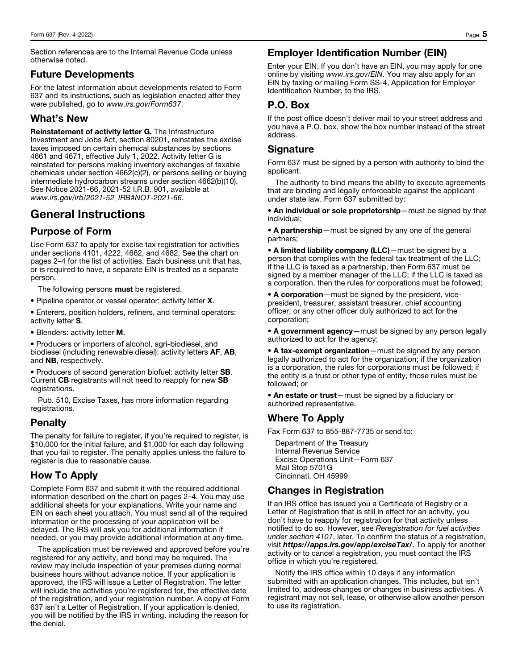Section references are to the Internal Revenue Code unless otherwise noted.

#### Future Developments

For the latest information about developments related to Form 637 and its instructions, such as legislation enacted after they were published, go to *www.irs.gov/Form637*.

## What's New

Reinstatement of activity letter G. The Infrastructure Investment and Jobs Act, section 80201, reinstates the excise taxes imposed on certain chemical substances by sections 4661 and 4671, effective July 1, 2022. Activity letter G is reinstated for persons making inventory exchanges of taxable chemicals under section 4662(c)(2), or persons selling or buying intermediate hydrocarbon streams under section 4662(b)(10). See Notice 2021-66, 2021-52 I.R.B. 901, available at *www.irs.gov/irb/2021-52\_IRB#NOT-2021-66*.

# General Instructions

# Purpose of Form

Use Form 637 to apply for excise tax registration for activities under sections 4101, 4222, 4662, and 4682. See the chart on pages 2–4 for the list of activities. Each business unit that has, or is required to have, a separate EIN is treated as a separate person.

The following persons **must** be registered.

- Pipeline operator or vessel operator: activity letter X.
- Enterers, position holders, refiners, and terminal operators: activity letter S.
- Blenders: activity letter M.

• Producers or importers of alcohol, agri-biodiesel, and biodiesel (including renewable diesel): activity letters AF, AB, and NB, respectively.

• Producers of second generation biofuel: activity letter SB. Current CB registrants will not need to reapply for new SB registrations.

Pub. 510, Excise Taxes, has more information regarding registrations.

# Penalty

The penalty for failure to register, if you're required to register, is \$10,000 for the initial failure, and \$1,000 for each day following that you fail to register. The penalty applies unless the failure to register is due to reasonable cause.

#### How To Apply

Complete Form 637 and submit it with the required additional information described on the chart on pages 2–4. You may use additional sheets for your explanations. Write your name and EIN on each sheet you attach. You must send all of the required information or the processing of your application will be delayed. The IRS will ask you for additional information if needed, or you may provide additional information at any time.

The application must be reviewed and approved before you're registered for any activity, and bond may be required. The review may include inspection of your premises during normal business hours without advance notice. If your application is approved, the IRS will issue a Letter of Registration. The letter will include the activities you're registered for, the effective date of the registration, and your registration number. A copy of Form 637 isn't a Letter of Registration. If your application is denied, you will be notified by the IRS in writing, including the reason for the denial.

## Employer Identification Number (EIN)

Enter your EIN. If you don't have an EIN, you may apply for one online by visiting *www.irs.gov/EIN*. You may also apply for an EIN by faxing or mailing Form SS-4, Application for Employer Identification Number, to the IRS.

## P.O. Box

If the post office doesn't deliver mail to your street address and you have a P.O. box, show the box number instead of the street address.

## **Signature**

Form 637 must be signed by a person with authority to bind the applicant.

The authority to bind means the ability to execute agreements that are binding and legally enforceable against the applicant under state law. Form 637 submitted by:

• An individual or sole proprietorship—must be signed by that individual;

• A partnership—must be signed by any one of the general partners;

• A limited liability company (LLC)—must be signed by a person that complies with the federal tax treatment of the LLC; if the LLC is taxed as a partnership, then Form 637 must be signed by a member manager of the LLC; if the LLC is taxed as a corporation, then the rules for corporations must be followed;

• A corporation—must be signed by the president, vicepresident, treasurer, assistant treasurer, chief accounting officer, or any other officer duly authorized to act for the corporation;

• A government agency—must be signed by any person legally authorized to act for the agency;

• A tax-exempt organization—must be signed by any person legally authorized to act for the organization; if the organization is a corporation, the rules for corporations must be followed; if the entity is a trust or other type of entity, those rules must be followed; or

• An estate or trust—must be signed by a fiduciary or authorized representative.

#### Where To Apply

Fax Form 637 to 855-887-7735 or send to:

Department of the Treasury Internal Revenue Service Excise Operations Unit—Form 637 Mail Stop 5701G Cincinnati, OH 45999

# Changes in Registration

If an IRS office has issued you a Certificate of Registry or a Letter of Registration that is still in effect for an activity, you don't have to reapply for registration for that activity unless notified to do so. However, see *Reregistration for fuel activities under section 4101*, later. To confirm the status of a registration, visit *https://apps.irs.gov/app/exciseTax/*. To apply for another activity or to cancel a registration, you must contact the IRS office in which you're registered.

Notify the IRS office within 10 days if any information submitted with an application changes. This includes, but isn't limited to, address changes or changes in business activities. A registrant may not sell, lease, or otherwise allow another person to use its registration.